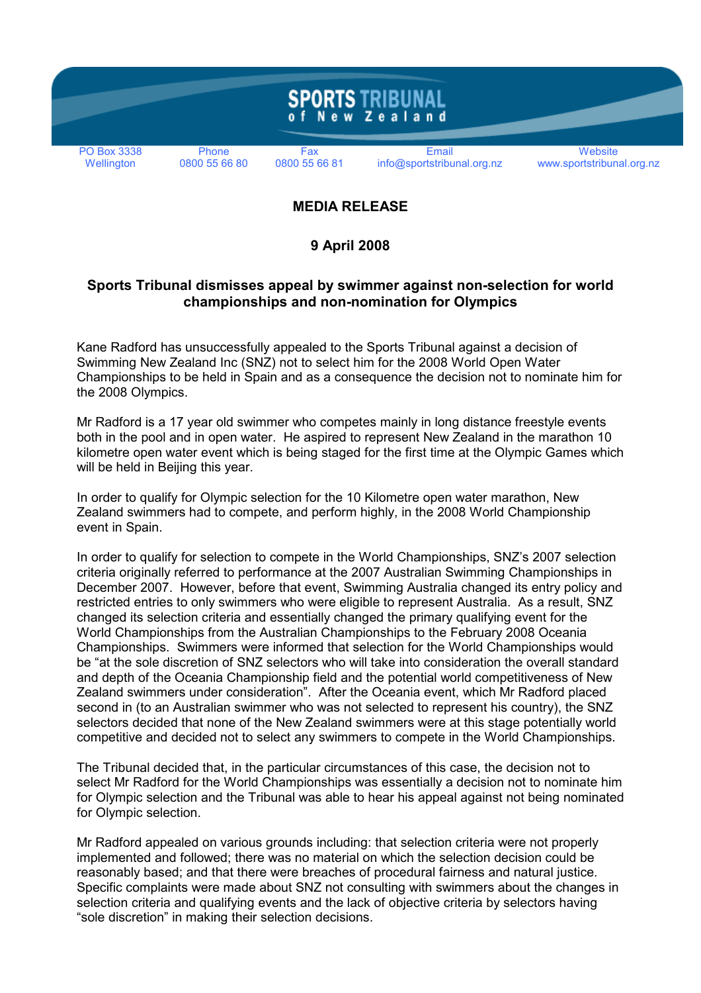

## MEDIA RELEASE

## 9 April 2008

## Sports Tribunal dismisses appeal by swimmer against non-selection for world championships and non-nomination for Olympics

Kane Radford has unsuccessfully appealed to the Sports Tribunal against a decision of Swimming New Zealand Inc (SNZ) not to select him for the 2008 World Open Water Championships to be held in Spain and as a consequence the decision not to nominate him for the 2008 Olympics.

Mr Radford is a 17 year old swimmer who competes mainly in long distance freestyle events both in the pool and in open water. He aspired to represent New Zealand in the marathon 10 kilometre open water event which is being staged for the first time at the Olympic Games which will be held in Beijing this year.

In order to qualify for Olympic selection for the 10 Kilometre open water marathon, New Zealand swimmers had to compete, and perform highly, in the 2008 World Championship event in Spain.

In order to qualify for selection to compete in the World Championships, SNZ's 2007 selection criteria originally referred to performance at the 2007 Australian Swimming Championships in December 2007. However, before that event, Swimming Australia changed its entry policy and restricted entries to only swimmers who were eligible to represent Australia. As a result, SNZ changed its selection criteria and essentially changed the primary qualifying event for the World Championships from the Australian Championships to the February 2008 Oceania Championships. Swimmers were informed that selection for the World Championships would be "at the sole discretion of SNZ selectors who will take into consideration the overall standard and depth of the Oceania Championship field and the potential world competitiveness of New Zealand swimmers under consideration". After the Oceania event, which Mr Radford placed second in (to an Australian swimmer who was not selected to represent his country), the SNZ selectors decided that none of the New Zealand swimmers were at this stage potentially world competitive and decided not to select any swimmers to compete in the World Championships.

The Tribunal decided that, in the particular circumstances of this case, the decision not to select Mr Radford for the World Championships was essentially a decision not to nominate him for Olympic selection and the Tribunal was able to hear his appeal against not being nominated for Olympic selection.

Mr Radford appealed on various grounds including: that selection criteria were not properly implemented and followed; there was no material on which the selection decision could be reasonably based; and that there were breaches of procedural fairness and natural justice. Specific complaints were made about SNZ not consulting with swimmers about the changes in selection criteria and qualifying events and the lack of objective criteria by selectors having "sole discretion" in making their selection decisions.